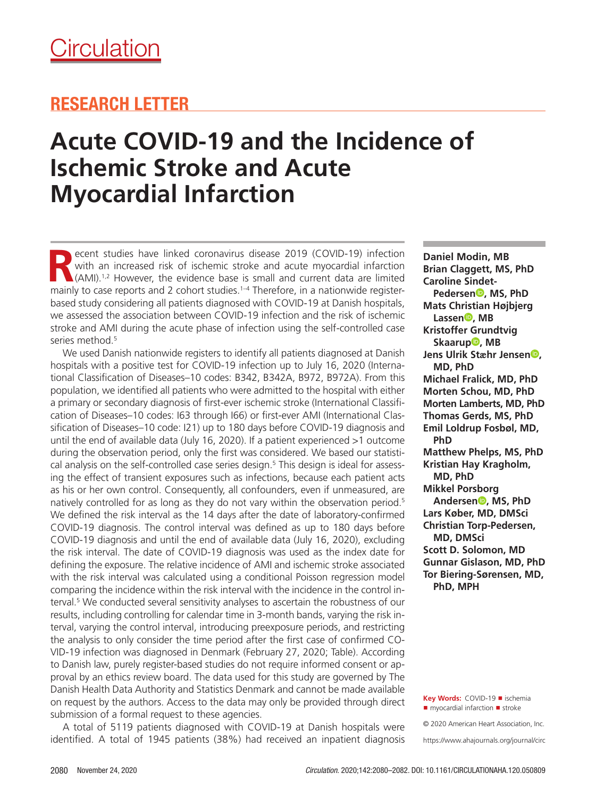## RESEARCH LETTER

# **Acute COVID-19 and the Incidence of Ischemic Stroke and Acute Myocardial Infarction**

**R**ecent studies have linked coronavirus disease 2019 (COVID-19) infection with an increased risk of ischemic stroke and acute myocardial infarction  $\triangle$ (AMI).<sup>1,2</sup> However, the evidence base is small and current data are limited mainly to case reports and 2 cohort studies.<sup>1-4</sup> Therefore, in a nationwide registerbased study considering all patients diagnosed with COVID-19 at Danish hospitals, we assessed the association between COVID-19 infection and the risk of ischemic stroke and AMI during the acute phase of infection using the self-controlled case series method.<sup>5</sup>

We used Danish nationwide registers to identify all patients diagnosed at Danish hospitals with a positive test for COVID-19 infection up to July 16, 2020 (International Classification of Diseases–10 codes: B342, B342A, B972, B972A). From this population, we identified all patients who were admitted to the hospital with either a primary or secondary diagnosis of first-ever ischemic stroke (International Classification of Diseases–10 codes: I63 through I66) or first-ever AMI (International Classification of Diseases–10 code: I21) up to 180 days before COVID-19 diagnosis and until the end of available data (July 16, 2020). If a patient experienced >1 outcome during the observation period, only the first was considered. We based our statistical analysis on the self-controlled case series design.5 This design is ideal for assessing the effect of transient exposures such as infections, because each patient acts as his or her own control. Consequently, all confounders, even if unmeasured, are natively controlled for as long as they do not vary within the observation period.<sup>5</sup> We defined the risk interval as the 14 days after the date of laboratory-confirmed COVID-19 diagnosis. The control interval was defined as up to 180 days before COVID-19 diagnosis and until the end of available data (July 16, 2020), excluding the risk interval. The date of COVID-19 diagnosis was used as the index date for defining the exposure. The relative incidence of AMI and ischemic stroke associated with the risk interval was calculated using a conditional Poisson regression model comparing the incidence within the risk interval with the incidence in the control interval.<sup>5</sup> We conducted several sensitivity analyses to ascertain the robustness of our results, including controlling for calendar time in 3-month bands, varying the risk interval, varying the control interval, introducing preexposure periods, and restricting the analysis to only consider the time period after the first case of confirmed CO-VID-19 infection was diagnosed in Denmark (February 27, 2020; Table). According to Danish law, purely register-based studies do not require informed consent or approval by an ethics review board. The data used for this study are governed by The Danish Health Data Authority and Statistics Denmark and cannot be made available on request by the authors. Access to the data may only be provided through direct submission of a formal request to these agencies.

A total of 5119 patients diagnosed with COVID-19 at Danish hospitals were identified. A total of 1945 patients (38%) had received an inpatient diagnosis **Daniel Modin, MB Brian Claggett, MS, PhD Caroline Sindet-Pedersen<sup>®</sup>**, MS, PhD **Mats Christian Højbjerg Lassen , MB Kristoffer Grundtvig Skaarup<sup>®</sup>, MB Jens Ulrik Stæhr Jensen , MD, PhD Michael Fralick, MD, PhD Morten Schou, MD, PhD Morten Lamberts, MD, PhD Thomas Gerds, MS, PhD Emil Loldrup Fosbøl, MD, PhD Matthew Phelps, MS, PhD Kristian Hay Kragholm, MD, PhD Mikkel Porsborg Andersen , MS, PhD Lars Køber, MD, DMSci Christian Torp-Pedersen, MD, DMSci Scott D. Solomon, MD Gunnar Gislason, MD, PhD Tor Biering-Sørensen, MD, PhD, MPH**

**Key Words:** COVID-19 ◼ ischemia ■ myocardial infarction ■ stroke

© 2020 American Heart Association, Inc.

https://www.ahajournals.org/journal/circ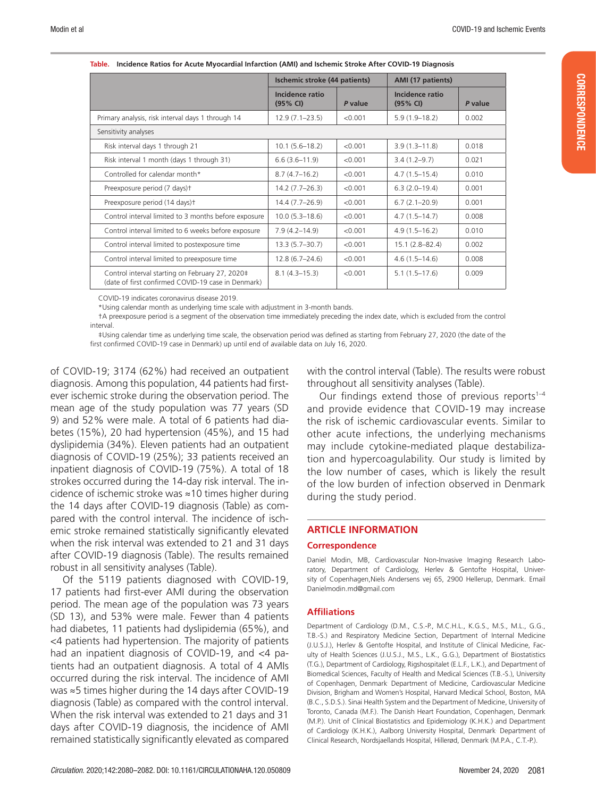CORRESPONDENCE

**CORRESPONDENCE** 

|                                                                                                       | Ischemic stroke (44 patients) |         | AMI (17 patients)           |         |
|-------------------------------------------------------------------------------------------------------|-------------------------------|---------|-----------------------------|---------|
|                                                                                                       | Incidence ratio<br>(95% CI)   | P value | Incidence ratio<br>(95% CI) | P value |
| Primary analysis, risk interval days 1 through 14                                                     | $12.9(7.1 - 23.5)$            | < 0.001 | $5.9(1.9-18.2)$             | 0.002   |
| Sensitivity analyses                                                                                  |                               |         |                             |         |
| Risk interval days 1 through 21                                                                       | $10.1(5.6 - 18.2)$            | < 0.001 | $3.9(1.3 - 11.8)$           | 0.018   |
| Risk interval 1 month (days 1 through 31)                                                             | $6.6(3.6 - 11.9)$             | < 0.001 | $3.4(1.2 - 9.7)$            | 0.021   |
| Controlled for calendar month*                                                                        | $8.7(4.7-16.2)$               | < 0.001 | $4.7(1.5-15.4)$             | 0.010   |
| Preexposure period (7 days) <sup>+</sup>                                                              | $14.2(7.7-26.3)$              | < 0.001 | $6.3(2.0-19.4)$             | 0.001   |
| Preexposure period (14 days) <sup>+</sup>                                                             | 14.4 (7.7-26.9)               | < 0.001 | $6.7(2.1 - 20.9)$           | 0.001   |
| Control interval limited to 3 months before exposure                                                  | $10.0(5.3 - 18.6)$            | < 0.001 | $4.7(1.5-14.7)$             | 0.008   |
| Control interval limited to 6 weeks before exposure                                                   | $7.9(4.2 - 14.9)$             | < 0.001 | $4.9(1.5 - 16.2)$           | 0.010   |
| Control interval limited to postexposure time                                                         | $13.3(5.7 - 30.7)$            | < 0.001 | $15.1(2.8 - 82.4)$          | 0.002   |
| Control interval limited to preexposure time                                                          | $12.8(6.7 - 24.6)$            | < 0.001 | $4.6(1.5-14.6)$             | 0.008   |
| Control interval starting on February 27, 2020‡<br>(date of first confirmed COVID-19 case in Denmark) | $8.1(4.3 - 15.3)$             | < 0.001 | $5.1(1.5-17.6)$             | 0.009   |

| Table. Incidence Ratios for Acute Myocardial Infarction (AMI) and Ischemic Stroke After COVID-19 Diagnosis |  |  |
|------------------------------------------------------------------------------------------------------------|--|--|
|                                                                                                            |  |  |

COVID-19 indicates coronavirus disease 2019.

\*Using calendar month as underlying time scale with adjustment in 3-month bands.

†A preexposure period is a segment of the observation time immediately preceding the index date, which is excluded from the control interval.

‡Using calendar time as underlying time scale, the observation period was defined as starting from February 27, 2020 (the date of the first confirmed COVID-19 case in Denmark) up until end of available data on July 16, 2020.

of COVID-19; 3174 (62%) had received an outpatient diagnosis. Among this population, 44 patients had firstever ischemic stroke during the observation period. The mean age of the study population was 77 years (SD 9) and 52% were male. A total of 6 patients had diabetes (15%), 20 had hypertension (45%), and 15 had dyslipidemia (34%). Eleven patients had an outpatient diagnosis of COVID-19 (25%); 33 patients received an inpatient diagnosis of COVID-19 (75%). A total of 18 strokes occurred during the 14-day risk interval. The incidence of ischemic stroke was ≈10 times higher during the 14 days after COVID-19 diagnosis (Table) as compared with the control interval. The incidence of ischemic stroke remained statistically significantly elevated when the risk interval was extended to 21 and 31 days after COVID-19 diagnosis (Table). The results remained robust in all sensitivity analyses (Table).

Of the 5119 patients diagnosed with COVID-19, 17 patients had first-ever AMI during the observation period. The mean age of the population was 73 years (SD 13), and 53% were male. Fewer than 4 patients had diabetes, 11 patients had dyslipidemia (65%), and <4 patients had hypertension. The majority of patients had an inpatient diagnosis of COVID-19, and <4 patients had an outpatient diagnosis. A total of 4 AMIs occurred during the risk interval. The incidence of AMI was ≈5 times higher during the 14 days after COVID-19 diagnosis (Table) as compared with the control interval. When the risk interval was extended to 21 days and 31 days after COVID-19 diagnosis, the incidence of AMI remained statistically significantly elevated as compared with the control interval (Table). The results were robust throughout all sensitivity analyses (Table).

Our findings extend those of previous reports $1-4$ and provide evidence that COVID-19 may increase the risk of ischemic cardiovascular events. Similar to other acute infections, the underlying mechanisms may include cytokine-mediated plaque destabilization and hypercoagulability. Our study is limited by the low number of cases, which is likely the result of the low burden of infection observed in Denmark during the study period.

#### **ARTICLE INFORMATION**

#### **Correspondence**

Daniel Modin, MB, Cardiovascular Non-Invasive Imaging Research Laboratory, Department of Cardiology, Herlev & Gentofte Hospital, University of Copenhagen,Niels Andersens vej 65, 2900 Hellerup, Denmark. Email Danielmodin.md@gmail.com

#### **Affiliations**

Department of Cardiology (D.M., C.S.-P., M.C.H.L., K.G.S., M.S., M.L., G.G., T.B.-S.) and Respiratory Medicine Section, Department of Internal Medicine (J.U.S.J.), Herlev & Gentofte Hospital, and Institute of Clinical Medicine, Faculty of Health Sciences (J.U.S.J., M.S., L.K., G.G.), Department of Biostatistics (T.G.), Department of Cardiology, Rigshospitalet (E.L.F., L.K.), and Department of Biomedical Sciences, Faculty of Health and Medical Sciences (T.B.-S.), University of Copenhagen, Denmark. Department of Medicine, Cardiovascular Medicine Division, Brigham and Women's Hospital, Harvard Medical School, Boston, MA (B.C., S.D.S.). Sinai Health System and the Department of Medicine, University of Toronto, Canada (M.F.). The Danish Heart Foundation, Copenhagen, Denmark (M.P.). Unit of Clinical Biostatistics and Epidemiology (K.H.K.) and Department of Cardiology (K.H.K.), Aalborg University Hospital, Denmark. Department of Clinical Research, Nordsjaellands Hospital, Hillerød, Denmark (M.P.A., C.T.-P.).